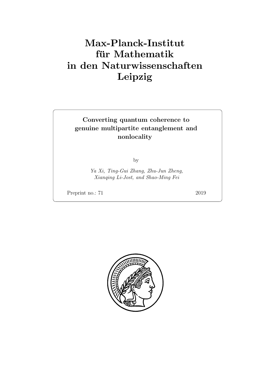# Max-Planck-Institut für Mathematik in den Naturwissenschaften Leipzig

## Converting quantum coherence to genuine multipartite entanglement and nonlocality

by

Ya Xi, Ting-Gui Zhang, Zhu-Jun Zheng, Xianqing Li-Jost, and Shao-Ming Fei

Preprint no.: 71 2019

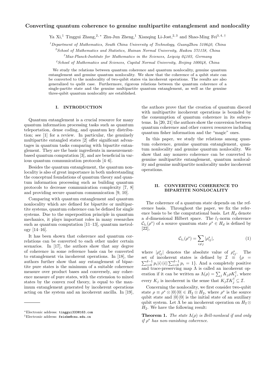### **Converting quantum coherence to genuine multipartite entanglement and nonlocality**

Ya Xi,<sup>1</sup> Tinggui Zhang,<sup>2,∗</sup> Zhu-Jun Zheng,<sup>1</sup> Xianqing Li-Jost,<sup>2,3</sup> and Shao-Ming Fei<sup>3,4,†</sup>

*<sup>1</sup>Department of Mathematics, South China University of Technology, GuangZhou 510640, China*

*<sup>2</sup>School of Mathematics and Statistics, Hainan Normal University, Haikou 571158, China*

*<sup>3</sup>Max-Planck-Institute for Mathematics in the Sciences, Leipzig 04103, Germany*

*<sup>4</sup>School of Mathematics and Sciences, Capital Normal University, Beijing 100048, China*

We study the relations between quantum coherence and quantum nonlocality, genuine quantum entanglement and genuine quantum nonlocality. We show that the coherence of a qubit state can be converted to the nonlocality of two-qubit states via incoherent operations. The results are also generalized to qudit case. Furthermore, rigorous relations between the quantum coherence of a single-partite state and the genuine multipartite quantum entanglement, as well as the genuine three-qubit quantum nonlocality are established.

#### **I. INTRODUCTION**

Quantum entanglement is a crucial resource for many quantum information processing tasks such as quantum teleportation, dense coding, and quantum key distribution; see [1] for a review. In particular, the genuinely multipartite entangled states [2] offer significant advantages in quantum tasks comparing with bipartite entanglement. They are the basic ingredients in measurementbased quantum computation [3], and are beneficial in various quantum communication protocols [4–6].

Besides the quantum entanglement, the quantum nonlocality is also of great importance in both understanding the conceptual foundations of quantum theory and quantum information processing such as building quantum protocols to decrease communication complexity [7, 8] and providing secure quantum communication [9, 10].

Comparing with quantum entanglement and quantum nonlocality which are defined for bipartite or multipartite systems, quantum coherence can be defined for single systems. Due to the superposition principle in quantum mechanics, it plays important roles in many researches such as quantum computation [11–13], quantum metrology [14–16].

It has been shown that coherence and quantum correlations can be converted to each other under certain scenarios. In [17], the authors show that any degree of coherence in some reference basis can be converted to entanglement via incoherent operations. In [18], the authors further show that any entanglement of bipartite pure states is the minimum of a suitable coherence measure over product bases and conversely, any coherence measure of pure states, with the extension to mixed states by the convex roof theory, is equal to the maximum entanglement generated by incoherent operations acting on the system and an incoherent ancilla. In [19], the authors prove that the creation of quantum discord with multipartite incoherent operations is bounded by the consumption of quantum coherence in its subsystems. In [20, 21] the authors show the conversion between quantum coherence and other convex resources including quantum fisher information and the "magic" ones.

In this paper, we study the relations among quantum coherence, genuine quantum entanglement, quantum nonlocality and genuine quantum nonlocality. We show that any nonzero coherence can be converted to genuine multipartite entanglement, quantum nonlocality and genuine multipartite nonlocality under incoherent operations.

#### **II. CONVERTING COHERENCE TO BIPARTITE NONLOCALITY**

The coherence of a quantum state depends on the reference basis. Throughout the paper, we fix the reference basis to be the computational basis. Let  $H_d$  denote a *d*-dimensional Hilbert space. The *l*1-norm coherence  $C_{l_1}(\rho^s)$  of a source quantum state  $\rho^s \in H_d$  is defined by [22], putation<br>space.<br>  $\lim_{x \to 0}$  sta $\lim_{x \to 0}$  =  $\sum_{x \in \mathbb{R}}$ 

$$
\mathcal{C}_{l_1}(\rho^s) = \sum_{i \neq j} |\rho^s_{ij}|,\tag{1}
$$

where  $|\rho_{ij}^s|$  denotes the absolute value of  $\rho_{ij}^s$ . The  $C_{l_1}(\rho) = \sum_{i \neq j} |\rho_{ij}|,$  (1)<br>where  $|\rho_{ij}^s|$  denotes the absolute value of  $\rho_{ij}^s$ . The<br>set of incoherent states is defined by  $\mathcal{I} \equiv \{ \rho = \sum_{i=0}^{d-1} p_i |i\rangle\langle i| |\sum_{i=0}^{d-1} p_i = 1 \}$ . And a completely positive and trace-preserving map  $\Lambda$  is called an incoherent opwhere  $|\rho_{ij}^s|$  denotes the absolute value<br>set of incoherent states is defined b<br> $\sum_{i=0}^{d-1} p_i |i\rangle\langle i||\sum_{i=0}^{d-1} p_i = 1$ . And a con<br>and trace-preserving map  $\Lambda$  is called ar<br>eration if it can be written as  $\Lambda(\rho) = \sum_{i$  $\int_j K_j \rho K_j^{\dagger}$ , where every  $K_j$  is incoherent in the sense that  $K_j \mathcal{I} K_j^{\dagger} \subseteq \mathcal{I}$ .

Concerning the nonlocality, we first consider two-qubit state  $\rho \equiv \rho^s \otimes |0\rangle\langle 0| \in H_2 \otimes H_2$ , where  $\rho^s$  is the source qubit state and  $|0\rangle\langle 0|$  is the initial state of an auxiliary qubit system. Let  $\Lambda$  be an incoherent operation on  $H_2 \otimes$  $H_2$ . We have the following result:

**Theorem 1.** *The state*  $\Lambda(\rho)$  *is Bell-nonlocal if and only if ρ <sup>s</sup> has non-vanishing coherence.*

*<sup>∗</sup>*Electronic address: tinggui333@163.com

*<sup>†</sup>*Electronic address: feishm@cnu.edu.cn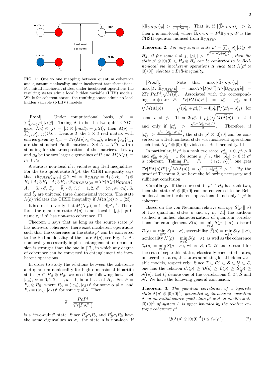

FIG. 1: One to one mapping between quantum coherence and quantum nonlocality under incoherent transformations. For initial incoherent states, under incoherent operations the resulting states admit local hidden variable (LHV) models. While for coherent states, the resulting states admit no local hidden variable (NLHV) models will be constraint to constraint the computational basis,  $\rho^s$  = [Proof]. Under computational basis,  $\rho^s$  =

 $\sum_{i,j=0}^{1} \rho_{ij}^{s} |i\rangle\langle j|$ . Taking Λ to be the two-qubit CNOT gate,  $\Lambda|i\rangle \otimes |j\rangle = |i\rangle \otimes |mod(i+j,2)\rangle$ , then  $\Lambda(\rho) =$  $j_k \rho_{jk}^s |jj\rangle \langle kk|$ . Denote *T* the 3 × 3 real matrix with entries given by  $t_{nm} = Tr(\Lambda(\rho)\sigma_n \otimes \sigma_m)$ , where  $\{\sigma_n\}_{n=1}^3$ are the standard Pauli matrices. Set  $U \equiv T^t T$  with  $t$ standing for the transposition of the matrices. Let  $\mu_1$ and  $\mu_2$  be the two larger eigenvalues of *U* and  $M(\Lambda(\rho)) \equiv$  $\mu_1 + \mu_2$ .

A state is non-local if it violates any Bell inequalities. For the two qubit state  $\Lambda(\rho)$ , the CHSH inequality says  $\langle \mathbb{B}_{CHSH} \rangle_{\Lambda(\rho)} \leq 2$ , where  $\mathbb{B}_{CHSH} = A_1 \otimes B_1 + A_1 \otimes B_2$  $B_2 + A_2 \otimes B_1 - A_2 \otimes B_2$ ,  $\langle \mathbb{B}_{CHSH} \rangle_{\Lambda(\rho)} = Tr(\Lambda(\rho) \mathbb{B}_{CHSH}),$  $A_i = \vec{a}_i \cdot \vec{\sigma}, B_j = \vec{b}_j \cdot \vec{\sigma}, i, j = 1, 2, \vec{\sigma} = (\sigma_1, \sigma_2, \sigma_3), \vec{a}_i$ and  $\vec{b}_j$  are unit real three dimensional vectors. The state  $Λ(ρ)$  violates the CHSH inequality if  $M(Λ(ρ)) > 1$  [23].

It is direct to verify that  $M(\Lambda(\rho)) = 1 + 4|\rho_{01}^s|^2$ . Therefore, the quantum state  $\Lambda(\rho)$  is non-local if  $|\rho_{01}^s| \neq 0$ , namely, if  $\rho^s$  has non-zero coherence.  $\Box$ 

Theorem 1 says that as long as the source state  $\rho^s$ has non-zero coherence, there exist incoherent operations such that the coherence in the state  $\rho^s$  can be converted to the Bell nonlocality of the state  $\Lambda(\rho)$ , see Fig. 1. As nonlocality necessarily implies entanglement, our conclusion is stronger than the one in [17], in which any degree of coherence can be converted to entanglement via incoherent operations.

In order to study the relations between the coherence and quantum nonlocality for high dimensional bipartite states  $\rho \in H_d \otimes H_d$ , we need the following fact. Let  $|e_{\alpha}\rangle$ ,  $\alpha = 0, 1, 2, \cdots, d - 1$ , be a basis of *H<sub>d</sub>*. Set *P* =  $P_A \otimes P_B$ , where  $P_A = (|e_\alpha\rangle, |e_\beta\rangle)^t$  for some  $\alpha \neq \beta$ , and<br>  $P_B = (|e_\gamma\rangle, |e_\lambda\rangle)^t$  for some  $\gamma \neq \lambda$ . Then<br>  $\widetilde{\rho} = \frac{P\rho P^\dagger}{\sqrt{P_B P^\dagger}}$  $P_B = (|e_\gamma\rangle, |e_\lambda\rangle)^t$  for some  $\gamma \neq \lambda$ . Then

$$
\widetilde{\rho} = \frac{P\rho P^\dagger}{Tr[P\rho P^\dagger]}
$$

is a "two-qubit" state. Since  $P_A^{\dagger} \sigma_i P_A$  and  $P_B^{\dagger} \sigma_i P_B$  have the same eigenvalues as  $\sigma_i$ , the state  $\rho$  is non-local if **Theorem 2.** For any source state  $\rho^s = \sum_{ij} \rho^s_{ij} |i\rangle\langle j| \in$ *H<sub>d</sub>*, *if for some*  $i \neq j$ ,  $| \rho_{ij}^s | >$  $\sqrt{1-(\rho_{ii}^s+\rho_{jj}^s)^2}$  $\frac{i i^{(i+p_{jj})}}{2}$ , then the *state*  $\rho^s \otimes |0\rangle\langle 0| \in H_d \otimes H_d$  *can be converted to be Bell-nonlocal via incoherent operations*  $\Lambda$  *such that*  $\Lambda(\rho^s \otimes |0\rangle\langle 0|)$  *violates a Bell-inequality.*<br>[Proof]. Note that  $\max |\langle \widetilde{\mathbb{B}}_{CHSH} \rangle_{\rho}|$  = *nonlocal via incoherent operations*  $\Lambda$  *such that*  $\Lambda(\rho^s \otimes \mathcal{O})$  $|0\rangle\langle0|$  *violates a Bell-inequality.* 

*noniocal via inconerent operations*  $\Lambda$  *such that*  $\Lambda(\rho^2 \otimes |0\rangle\langle 0|)$  *violates a Bell-inequality.*<br>
[Proof]. Note that  $\max |\langle \widetilde{\mathbb{B}}_{CHSH} \rangle_{\rho}|$  =  $\max Tr[P\rho P^{\dagger}] |Tr[\mathbb{B}_{CHSH}\widetilde{\rho}]|$  =  $2Tr[P\rho P^{\dagger}]\sqrt{M(\tilde{\rho})}$ . Associated with *M*(*n*e is a given of  $\frac{1}{\sqrt{\mathbb{B}}_{CHSH}}$ ) and  $\frac{1}{\mathbb{B}_{CHSH}}$  and  $\frac{1}{\mathbb{B}_{CHSH}}$  and  $\frac{1}{\mathbb{B}_{CHSH}}$  and  $\frac{1}{\mathbb{B}_{CHSH}}$  and  $\frac{1}{\mathbb{B}_{CHSH}}$  and  $\frac{1}{\mathbb{B}_{CHSH}}$  and  $\frac{1}{\mathbb{B}_{CHSH}}$  are  $\frac{1}{\mathbb{B}_{CHSH}}$  and  $\frac{1$ ing projector *P*,  $Tr[P\Lambda(\rho)P^{\dagger}] = \rho_{ii}^{s} + \rho_{jj}^{s}$  and  $M(\widetilde{\Lambda(\rho)})$  =  $\sqrt{(\rho_{ii}^s + \rho_{jj}^s)^2 + 4|\rho_{ij}^s|^2}/(\rho_{ii}^s + \rho_{jj}^s)$  for *Proof*]. Not<br>ax  $Tr[\widetilde{B}_{CHSH} \rho]$ <br> $Tr[P \rho P^{\dagger}] \sqrt{M(\widetilde{\rho})}$ .<br>g projector P,<br> $M(\widetilde{\Lambda(\rho)}) = \sqrt{\frac{M(\widetilde{\Lambda(\rho)})}{M(\widetilde{\rho})}}$ some  $i \neq j$ . Then  $2(\rho_{ii}^s + \rho_{jj}^s)\sqrt{\frac{j}{j}}$  $\rho_{ii}^s + \rho_{jj}^s$  and<br>  $\rho_{ii}^2 / (\rho_{ii}^s + \rho_{jj}^s)$  for<br>  $\sqrt{M(\widetilde{\Lambda(\rho)})} > 2$  if and only if  $|\rho_{ij}^s|$  >  $\sqrt{1-(\rho_{ii}^s+\rho_{jj}^s)^2}$  $\frac{i i^{1} P_{jj}^{1}}{2}$ . Therefore, if  $|\rho_{ij}^s|$  > *v*<sub>1−( $\rho_{ii}^s$ + $\rho_{jj}^s$ )<sup>2</sup></sub>  $\frac{a_{ii} + p_{jj} - q_{jj}}{2}$ , the state  $\rho^s \otimes |0\rangle\langle0|$  can be converted to a Bell-nonlocal state via incoherent operations such that  $\Lambda(\rho^s \otimes |0\rangle\langle 0|)$  violates a Bell-inequality.  $\Box$ 

In particular, if  $\rho^s$  is a rank two state,  $\rho^s_{kk} > 0$ ,  $\rho^s_{ll} > 0$ and  $\rho_{kk}^s + \rho_{ll}^s = 1$  for some  $k \neq l$ , the  $|\rho_{kl}^s| > 0$  if  $\rho^s$ is coherent. Taking  $P_A = P_B = (|e_k\rangle, |e_l\rangle)^t$ , one gets  $Tr[P\Lambda(\rho)P^{\dagger}] \sqrt{M(\Lambda(\rho))} = \sqrt{1+4|\rho_{kl}^s|^2} > 1.$  By the  $\mathcal{B}$  |0) (0|) violate<br>if  $\rho^s$  is a rank t<br>= 1 for some k<br>king  $P_A = P_E$ <br> $M(\widehat{\Lambda(\rho)}) = \sqrt{\frac{M(\widehat{\Lambda(\rho)})}{M(\widehat{\Lambda(\rho)})}}$ proof of Theorem 2, we have the following necessary and sufficient conclusion:

**Corollary.** If the source state  $\rho^s \in H_d$  has rank two, then the state  $\rho^s \otimes |0\rangle\langle 0|$  can be converted to be Bellnonlocal under incoherent operations if and only if  $\rho^s$  is coherent.

Based on the von Neumann relative entropy  $S(\rho \parallel \sigma)$ of two quantum states  $\rho$  and  $\sigma$ , in [24] the authors studied a unified characterization of quantum correlations for entanglement  $\mathcal{E}(\rho) = \min_{\sigma \in \mathcal{S}} S(\rho \parallel \sigma)$ , discord *D*(*b m*) degrees the *con countain control of two quantum states ρ* and *σ*, in [24] the authors studied a unified characterization of quantum correlations for entanglement  $\mathcal{E}(\rho) = \inf_{\sigma \in S} S(\rho \parallel \sigma)$ , discord nonlocality  $\mathcal{N}(\rho) = \min_{\sigma \in \mathcal{L}} S(\rho \parallel \sigma)$ , as well as the coherence  $\mathcal{C}_r(\rho) = \min_{\sigma \in \mathcal{I}} S(\rho \parallel \sigma)$ , where *S*, *CC*, *U* and *L* stand for the sets of separable states, classically correlated states, unsteerable states, the states admitting local hidden variable models, respectively. Since  $\mathcal{I} \subset \mathcal{CC} \subset \mathcal{S} \subset \mathcal{U} \subset \mathcal{L}$ ,  $C_r(p) = \lim_{\sigma \in \mathcal{I}} \mathcal{L}(\rho \parallel \sigma),$  where  $\sigma$ ,  $\mathcal{C}\mathcal{C}$ ,  $\mathcal{C}\mathcal{C}$ , and  $\mathcal{L}$  stand for the sets of separable states, classically correlated states, unsteerable states, the states admitting local hidden variabl the sets of separable states, classically correlated states,<br>unsteerable states, the states admitting local hidden vari-<br>able models, respectively. Since  $\mathcal{I} \subset \mathcal{CC} \subset \mathcal{S} \subset \mathcal{U} \subset \mathcal{L}$ ,<br>one has the relation  $\mathcal$  $N$ . We have the following general conclusion.

**Theorem 3.** *The quantum correlation of a bipartite state*  $\Lambda(\rho^s \otimes |0\rangle\langle0|^A)$  *generated by incoherent operation* Λ *on an initial source qudit state ρ <sup>s</sup> and an ancilla state*  $|0\rangle\langle0|^A$  *of system A is upper bounded by the relative entropy coherence ρ s ,*

$$
Q(\Lambda(\rho^s \otimes |0\rangle\langle 0|^A)) \leq C_r(\rho^s). \tag{2}
$$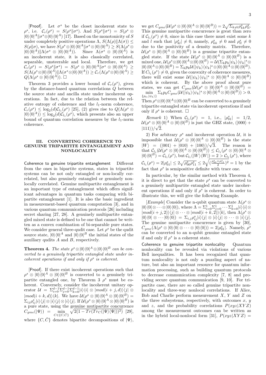[Proof]. Let  $\sigma^s$  be the closet incoherent state to  $\rho^s$ , i.e.  $\mathcal{C}_r(\rho^s) = S(\rho^s \| \sigma^s)$ . And  $S(\rho^s \| \sigma^s) = S(\rho^s \otimes$  $|0\rangle\langle0|^A||\sigma^s\otimes|0\rangle\langle0|^A|$  [17]. Based on the monotonicity of *S* under completely positive operations  $\Lambda$ ,  $S(\Lambda(\rho) \| \Lambda(\sigma)) \leq$  $S(\rho||\sigma)$ , we have  $S(\rho^s \otimes |0\rangle\langle0|^A||\sigma^s \otimes |0\rangle\langle0|^A) \geq S(\Lambda(\rho^s \otimes$  $|0\rangle\langle0|^A\rangle\|\Lambda(\sigma^s\otimes|0\rangle\langle0|^A\rangle).$  Since  $\Lambda(\sigma^s\otimes|0\rangle\langle0|^A)$  is an incoherent state, it is also classically correlated, separable, unsteerable and local. Therefore, we get  $\mathcal{C}_r(\rho^s) \;=\; S(\rho^s\|\sigma^s) \;=\; S(\rho^s\otimes |0\rangle\langle 0|^A\|\sigma^s\otimes |0\rangle\langle 0|^A) \;\geq$  $S(\Lambda(\rho^s \otimes |0\rangle\langle0|^A)| |A(\sigma^s \otimes |0\rangle\langle0|^A)) \geq \mathcal{C}_r(\Lambda(\rho^s \otimes |0\rangle\langle0|^A)) \geq$  $Q(\Lambda(\rho^s\otimes|0\rangle\langle0|^A))$ .  $\Box$ 

Theorem 3 provides a lower bound of  $C_r(\rho^s)$ , given by the distance-based quantum correlations *Q* between the source state and ancilla state under incoherent operations. In fact, due to the relation between the relative entropy of coherence and the  $l_1$ -norm coherence,  $\mathcal{C}_r(\rho^s) \leq \log_2(d)\mathcal{C}_{l_1}(\rho^s)$  [25], (2) gives rise to  $Q(\Lambda(\rho^s \otimes$  $|0\rangle\langle 0|^A)$   $\leq \log_2(d)C_{l_1}(\rho^s)$ , which presents also an upper bound of quantum correlation measures by the  $l_1$ -norm coherence.

#### **III. CONVERTING COHERENCE TO GENUINE TRIPARTITE ENTANGLEMENT AND NONLOCALITY**

Coherence to genuine tripartite entanglement Different from the ones in bipartite systems, states in tripartite systems can be not only entangled or non-locally correlated, but also genuinely entangled or genuinely nonlocally correlated. Genuine multipartite entanglement is an important type of entanglement which offers significant advantages in quantum tasks comparing with bipartite entanglement [1]. It is also the basic ingredient in measurement-based quantum computation [3], and in various quantum communication protocols [26] including secret sharing [27, 28]. A genuinely multipartite entangled mixed state is defined to be one that cannot be written as a convex combination of bi-separable pure states. We consider general three-qudit case. Let  $\rho^s$  be the qudit source state,  $|0\rangle\langle 0|^A$  and  $|0\rangle\langle 0|^B$  the initial states of the auxiliary qudits *A* and *B*, respectively.

**Theorem 4.** The state  $\rho^s \otimes |0\rangle\langle 0|^A \otimes |0\rangle\langle 0|^B$  can be con*verted to a genuinely tripartite entangled state under incoherent operations if and only if*  $\rho^s$  *is coherent.* 

[Proof]. If there exist incoherent operations such that  $\rho^s \otimes |0\rangle\langle 0|^A \otimes |0\rangle\langle 0|^B$  is converted to a genuinely tripartite entangled one, by Theorem 3  $\rho^s$  must be coherent. Conversely, consider the incoherent unitary op- $\text{arctan} \mathcal{U} = \sum_{i=0}^{d-1} \sum_{j=0}^{d-1} \sum_{k=0}^{d-1} |i\rangle\langle i| \otimes |mod(i+j,d)\rangle\langle j| \otimes j$  $|mod(i+k,d)\rangle\langle k|$ . We have  $\mathcal{U}(\rho^s \otimes |0\rangle\langle 0|^A \otimes |0\rangle\langle 0|^B) =$  $\Sigma_{ij}\rho^s_{ij}|i\rangle\langle j|\otimes|i\rangle\langle j|\otimes|i\rangle\langle j|. \hbox{ If } \mathcal{U}(\rho^s\otimes|0\rangle\langle0|^A\otimes|0\rangle\langle0|^B) \hbox{ is}$ a pure state, using the genuine mutipartite concurrence  $C_{gme}(|\Psi\rangle) = \min_{C \in \{C, \bar{C}\}}$  $\overline{2(1-Tr(Tr_C(|\Psi\rangle\langle\Psi|))^2)}$  [29], where  $\{C, \bar{C}\}\$  denotes bipartite decompositions of  $|\Psi\rangle$ ,

 $3$ <br>
we get  $C_{gme}(\mathcal{U}(\rho^{s}\otimes|0\rangle\langle0|^{A}\otimes|0\rangle\langle0|^{B}))=2\sqrt{\Sigma_{k\neq l}\rho^{s}_{kk}\rho^{s}_{ll}}.$ This genuine mutipartite concurrence is great than zero if  $C_{l_1}(\rho^s) \neq 0$ , since in this case there must exist some *k* and *l* such that  $|\rho_{kl}^s| \neq 0$ , namely,  $\rho_{kk}^s \neq 0$  and  $\rho_{ll}^s \neq 0$ due to the positivity of a density matrix. Therefore,  $\mathcal{U}(\rho^s \otimes |0\rangle\langle0|^A \otimes |0\rangle\langle0|^B)$  is a genuine tripartite entangled state. If the state  $\mathcal{U}(\rho^s \otimes |0\rangle\langle0|^A \otimes |0\rangle\langle0|^B)$  is a  $\text{mixed one}, \mathcal{U}(\rho^s \otimes |0\rangle\langle0|^A \otimes |0\rangle\langle0|^B) = \mathcal{U}(\Sigma_k p_k |\psi_k\rangle\langle\psi_k|^s \otimes$  $|0\rangle\langle 0|^A \otimes |0\rangle\langle 0|^B) = \sum_k p_k \mathcal{U}(|\psi_k\rangle\langle \psi_k|^s \otimes |0\rangle\langle 0|^A \otimes |0\rangle\langle 0|^B).$ If  $C_{l_1}(\rho^s) \neq 0$ , given the convexity of coherence measures, there will exist some  $\mathcal{U}(|\psi_k\rangle \langle \psi_k|^s \otimes |0\rangle \langle 0|^A \otimes |0\rangle \langle 0|^B)$ which is coherent. By the above proof about pure states, we can get  $C_{gme}(\mathcal{U}(\rho^s \otimes |0\rangle\langle0|^A \otimes |0\rangle\langle0|^B)) =$  $\min_{\{p_k,|\psi_k\rangle\}}\Sigma_k p_k C_{gme}(\mathcal{U}(|\psi_k\rangle\langle\psi_k|^s\otimes|0\rangle\langle0|^A\otimes|0\rangle\langle0|^B))>0.$ Then  $\rho^s \otimes |0\rangle\langle 0|^A \otimes |0\rangle\langle 0|^B$  can be converted to a genuinely

tripartite entangled state via incoherent operations if and only if  $\rho^s$  is coherent.  $\square$ 

*Remark* 1) When  $C_{l_1}(\rho^s) = 1$ , i.e.,  $|\rho_{01}^s| = 1/2$ ,  $U(\rho^s \otimes |0\rangle\langle0|^A \otimes |0\rangle\langle0|^B)$  is just the GHZ state, (*|*000*)* + *|*111*⟩*)*/* 2.

2) For arbitrary  $\rho^s$  and incoherent operation  $\mathcal{U}$ , it is impossible that  $\mathcal{U}(\rho^s \otimes |0\rangle\langle0|^A \otimes |0\rangle\langle0|^B)$  is the state  $|W\rangle = (|001\rangle + |010\rangle + |100\rangle)/\sqrt{3}$ . The reason is  $\mathcal{C}_{l_1}(\mathcal{U}(\rho^s\otimes |0\rangle\langle0|^A\otimes |0\rangle\langle0|^B))\leq \mathcal{C}_{l_1}(\rho^s\otimes |0\rangle\langle0|^A\otimes 1)$  $|0\rangle\langle0|^{B}$  =  $C_{l_1}(\rho^s)$ , but  $C_{l_1}(|W\rangle\langle W|) = 2 > C_{l_1}(\rho^s)$ , where  $\mathcal{C}_{l_1}(\rho^s) = 2|\rho_{01}^s| \leq 2\sqrt{\rho_{00}^s \rho_{11}^s} \leq 2\sqrt{(\frac{\rho_{00}^s + \rho_{11}^s}{2})^2} = 1$  by the fact that  $\rho^s$  is semipositive definite with trace one.

In particular, by the similar method with Theorem 4, it is direct to get that the state  $\rho^s$  can be converted to a genuinely multipartite entangled state under incoherent operations if and only if  $\rho^s$  is coherent. In order to illustrate this, we will give the following Example.

[*Example*] Consider the n-qubit quantum state  $\Lambda(\rho^s \otimes$  $|0\rangle\langle0|\otimes\cdots\otimes|0\rangle\langle0|)$ , where  $\Lambda = \sum_{i=0}^{1} \sum_{j=0}^{1} \cdots \sum_{k=0}^{1} |i\rangle\langle i| \otimes$  $|mod(i + j, 2)\rangle\langle j| \otimes \cdots \otimes |mod(i + k, 2)\rangle\langle k|$ , then  $\Lambda(\rho^s \otimes$  $|0\rangle\langle 0| \otimes \cdots |0\rangle\langle 0|) = \sum_{i,j} \rho_{ij}^s |i\rangle\langle j| \otimes |i\rangle\langle j| \otimes \cdots \otimes |i\rangle\langle j|.$ The genuine mutipartite concurrence is given by [30],  $C_{gme}(\Lambda(\rho^s \otimes |0\rangle\langle0| \otimes \cdots \otimes |0\rangle\langle0|)) = 2|\rho^s_{01}|.$  Namely,  $\rho^s$ can be converted to an n-qubit genuine entangled state if and only if  $\rho^s$  is a coherent state.

Coherence to genuine tripartite nonlocality Quantum nonlocality can be revealed via violations of various Bell inequalities. It has been recognized that quantum nonlocality is not only a puzzling aspect of nature, but also an important resource for quantum information processing, such as building quantum protocols to decrease communication complexity [7, 8] and providing secure quantum communication [9, 10]. For tripartite case, there are so called genuine tripartite nonlocality and three-way nonlocal correlations. If Alice, Bob and Charlie perform measurement *X*, *Y* and *Z* on the three subsystems, respectively, with outcomes  $x, y$ and *z*, and the probability correlations  $P(xyz|XYZ)$ among the measurement outcomes can be written as in the hybrid local-nonlocal form [31],  $P(xyz|XYZ)$  =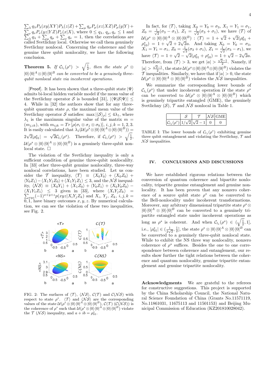$_{\lambda }q_{\lambda }P_{\lambda }(xy|XY)P_{\lambda }(z|Z)+\sum_{\mu }q_{\mu }P_{\mu }(xz|XZ)P_{\mu }(y|Y)+ \label{eq:2.10}$  $\sum_{\lambda} q_{\lambda} P_{\lambda}(xy|XY)P_{\lambda}(z|Z) + \sum_{\mu} q_{\mu} P_{\mu}(xz|XZ)P_{\mu}(y|Y) + \sum_{\nu} q_{\nu} P_{\nu}(yz|YZ)P_{\nu}(x|X),$  where  $0 \le q_{\lambda}, q_{\mu}, q_{\nu} \le 1$  and  $\sum_{\mu} q_{\mu} + \sum_{\nu} q_{\nu} = 1$ , then the correlations are called Svetlichny local. Otherwise we call them genuinely Svetlichny nonlocal. Concerning the coherence and the genuine three qubit nonlocality, we have the following conclusion.

**Theorem 5.** *If*  $C_{l_1}(\rho^s) > \sqrt{\frac{1}{2}}$ , then the state  $\rho^s \otimes$  $|0\rangle\langle0|^A\otimes|0\rangle\langle0|^B$  *can be converted to be a genuinely threequbit nonlocal state via incoherent operations.*

[Proof]. It has been shown that a three-qubit state *|*Ψ*⟩* admits bi-local hidden variable model if the mean value of the Svetlichny operator *S* is bounded [31],  $|\langle \Psi | \mathcal{S} | \Psi \rangle|$   $\leq$ 4. While in [32] the authors show that for any threequbit quantum state  $\rho$ , the maximal mean value of the Svetlichny operator *S* satisfies:  $\max |\langle S \rangle_{\rho}| \leq 4\lambda_1$ , where  $\lambda_1$  is the maximum singular value of the matrix  $m =$  $(m_{j,ik})$ , with  $m_{ijk} = Tr[\rho(\sigma_i \otimes \sigma_j \otimes \sigma_k)], i, j, k = 1, 2, 3.$ It is easily calculated that  $\lambda_1(\mathcal{U}(\rho^s \otimes |0\rangle\langle0|^A \otimes |0\rangle\langle0|^B)) =$  $2\sqrt{2}|\rho_{01}^s| = \sqrt{2}C_{l_1}(\rho^s)$ . Therefore, if  $C_{l_1}(\rho^s) > \sqrt{\frac{1}{2}}$ ,  $\mathcal{U}(\rho^s \otimes |0\rangle\langle0|^A \otimes |0\rangle\langle0|^B)$  is a genuinely three-qubit nonlocal state.  $\Box$ 

The violation of the Svetlichny inequality is only a sufficient condition of genuine three-qubit nonlocalilty. In [33] other three-qubit genuine nonlocality, three-way nonlocal correlations, have been studied. Let us consider the  $\mathcal{T}$  inequality,  $\langle \mathcal{T} \rangle \equiv \langle X_0 Y_0 \rangle + \langle X_0 Z_0 \rangle +$  $\langle Y_0 Z_1 \rangle - \langle X_1 Y_1 Z_0 \rangle + \langle X_1 Y_1 Z_1 \rangle \leq 3$ , and the *N S* inequality,  $\langle \mathcal{N} \mathcal{S} \rangle \equiv \langle X_0 Y_1 \rangle + \langle X_1 Z_0 \rangle + \langle Y_0 Z_1 \rangle + \langle X_0 Y_0 Z_0 \rangle \langle X_1 Y_1 Z_1 \rangle \leq 3$  given in [33], where  $\langle X_i Y_j Z_k \rangle$  =  $\frac{dy}{dx}(x-1)^{x+y+z}p(xyz|X_iY_jZ_k)$  and  $X_i, Y_j, Z_k, i, j, k =$  $0, 1$ , have binary outcomes  $x, y, z$ . By numerical calculation, we can see the violation of these two inequalities, see Fig. 2.



FIG. 2: The surfaces of  $\langle \mathcal{T} \rangle$ ,  $\langle \mathcal{NS} \rangle$ ,  $\mathcal{C}(\mathcal{T})$  and  $\mathcal{C}(\mathcal{NS})$  with respect to state  $\rho^s$ .  $\langle \mathcal{T} \rangle$  and  $\langle \mathcal{NS} \rangle$  are the corresponding values of the state  $U(\rho^s \otimes |0\rangle\langle0|^A \otimes |0\rangle\langle0|^B), C(\mathcal{T})$  ( $C(\mathcal{NS})$ ) is the coherence of  $\rho^s$  such that  $\mathcal{U}(\rho^s \otimes |0\rangle\langle 0|^A \otimes |0\rangle\langle 0|^B)$  violate the  $\mathcal{T}(\mathcal{NS})$  inequality, and  $a + ib = \rho_{01}^s$ .

In fact, for  $\langle \mathcal{T} \rangle$ , taking  $X_0 = Y_0 = \sigma_3$ ,  $X_1 = Y_1 = \sigma_1$ ,  $Z_0 = \frac{1}{\sqrt{2}}$  $\frac{1}{2}(\sigma_3 - \sigma_1), Z_1 = \frac{1}{\sqrt{2}}$  $\frac{1}{2}(\sigma_3 + \sigma_1)$ , we have  $\langle \mathcal{T} \rangle$  of  $\mathcal{U}(\rho^s \otimes |0\rangle\langle0|^A \otimes |0\rangle\langle0|^B) : \langle \mathcal{T} \rangle = 1 + \sqrt{2} + \sqrt{2}(\rho_{01}^s + \rho_{11}^s)$  $\rho_{10}^{\alpha}$  = 1 +  $\sqrt{2}$  + 2 $\sqrt{2}a$ . And taking *X*<sub>0</sub> = *Y*<sub>0</sub> = *z*<sub>3</sub>,  $X_1 = Y_1 = \sigma_1, Z_0 = \frac{1}{\sqrt{2}}$  $Z_2(\sigma_3 + \sigma_1), Z_1 = \frac{1}{\sqrt{2}}$  $Z_1 = \frac{1}{\sqrt{2}}(\sigma_3 - \sigma_1)$ , we have  $\langle T \rangle = 1 + \sqrt{2} - \sqrt{2}(\rho_{01}^s + \rho_{10}^s) = 1 + \sqrt{2} - 2\sqrt{2}a$ . Therefore, from  $\langle \mathcal{T} \rangle > 3$ , we get  $|a| > \frac{\sqrt{2}-1}{2}$ . Namely, if  $|a| > \frac{\sqrt{2}-1}{2}$ , the state *U*( $\rho$ <sup>s</sup> ⊗|0*)* $\langle 0|^{A} \otimes |0\rangle \langle 0|^{B}$ ) violates the  $\mathcal{T}$  inequalities. Similarly, we have that if  $|a| > 0$ , the state  $\mathcal{U}(\rho^s \otimes |0\rangle\langle0|^A \otimes |0\rangle\langle0|^B)$  violates the  $\mathcal{NS}$  inequalities.

We summarize the corresponding lower bounds of  $\mathcal{C}_{l_1}(\rho^s)$  that under incoherent operation *U* the state  $\rho^s$ can be converted to  $\mathcal{U}(\rho^s \otimes |0\rangle\langle0|^A \otimes |0\rangle\langle0|^B)$  which is genuinely tripartite entangled (GME), the genuinely Svetlichny  $(S)$ ,  $T$  and  $\mathcal{N}S$  nonlocal in Table 1.

|       |              |                          | SIGNET |
|-------|--------------|--------------------------|--------|
| (6.6) | $1/\sqrt{2}$ | $\cdot \cdot \sqrt{2}$ . |        |

TABLE I: The lower bounds of  $C_{l_1}(\rho^s)$  exhibiting genuine three qubit entanglement and violating the Svetlichny,  $\mathcal T$  and *N S* inequalities.

#### **IV. CONCLUSIONS AND DISCUSSIONS**

We have established rigorous relations between the conversion of quantum coherence and bipartite nonlocality, tripartite genuine entanglement and genuine nonlocality. It has been proven that any nonzero coherence of a source qubit state  $\rho^s$  can be converted to the Bell-nonlocality under incoherent transformations. Moreover, any arbitrary dimensional tripartite state  $\rho$ <sup>s</sup>  $\otimes$  $|0\rangle\langle0|^A \otimes |0\rangle\langle0|^B$  can be converted to a genuinely tripartite entangled state under incoherent operations as long as  $\rho^s$  is coherent. And when  $\mathcal{C}_{l_1}(\rho^s) \in (\sqrt{\frac{1}{2}}, 1],$ i.e.,  $|\rho_{01}^s| \in (\frac{1}{2\sqrt{3}})$  $\frac{1}{2\sqrt{2}}, \frac{1}{2}$ , the state  $\rho^s \otimes |0\rangle\langle 0|^A \otimes |0\rangle\langle 0|^B$  can be converted to a genuinely three-qubit nonlocal state. While to exhibit the NS three way nonlocality, nonzero coherence of  $\rho^s$  suffices. Besides the one to one correspondence between coherence and entanglement, our results show further the tight relations between the coherence and quantum nonlocality, genuine tripartite entanglement and genuine tripartite nonlocality.

**Acknowledgments** We are grateful to the referees for constructive suggestions. This project is supported by the China Scholarship Council, the National Natural Science Foundation of China (Grants No.11571119, No.11861031, 11675113 and 11501153) and Beijing Municipal Commission of Education (KZ201810028042).